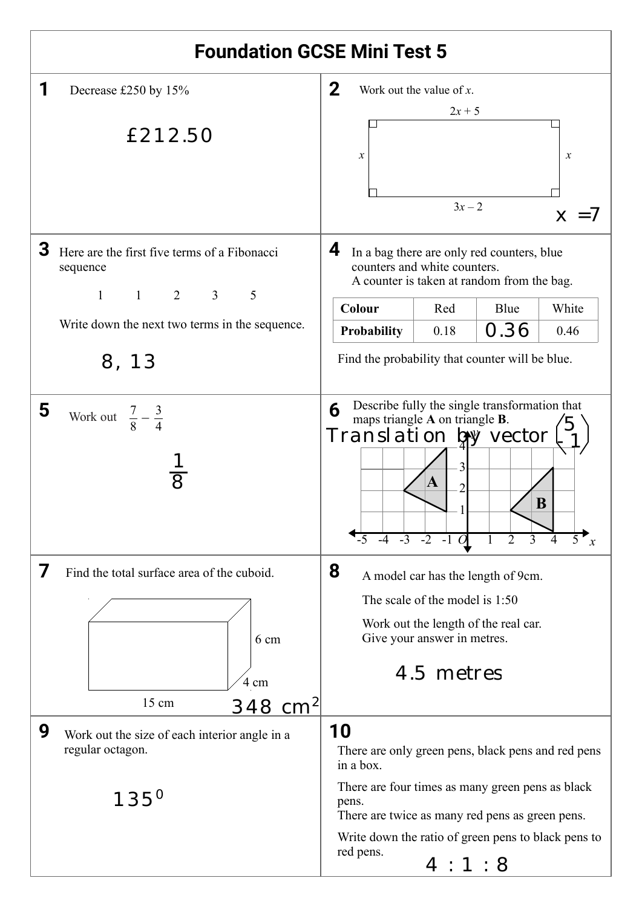| <b>Foundation GCSE Mini Test 5</b>                                                                          |                                                                                                                                                                                               |  |  |
|-------------------------------------------------------------------------------------------------------------|-----------------------------------------------------------------------------------------------------------------------------------------------------------------------------------------------|--|--|
| Decrease £250 by 15%                                                                                        | $\mathbf 2$<br>Work out the value of $x$ .<br>$2x + 5$                                                                                                                                        |  |  |
| £212.50                                                                                                     | $\boldsymbol{x}$<br>$\boldsymbol{\chi}$<br>$3x - 2$<br>$x = 7$                                                                                                                                |  |  |
| 3<br>Here are the first five terms of a Fibonacci<br>sequence<br>$1 \qquad 2 \qquad 3$<br>5<br>$\mathbf{1}$ | 4<br>In a bag there are only red counters, blue<br>counters and white counters.<br>A counter is taken at random from the bag.                                                                 |  |  |
|                                                                                                             | Blue<br>White<br>Colour<br>Red                                                                                                                                                                |  |  |
| Write down the next two terms in the sequence.                                                              | 0.36<br>0.18<br>Probability<br>0.46                                                                                                                                                           |  |  |
| 8, 13                                                                                                       | Find the probability that counter will be blue.                                                                                                                                               |  |  |
| 5<br>Work out $\frac{7}{8} - \frac{3}{4}$                                                                   | Describe fully the single transformation that<br>6<br>maps triangle A on triangle B.<br>Translation by vector<br>A<br>2<br>B<br>$-5$ $-4$ $-3$ $-2$ $-1$ O<br>$\overline{2}$<br>$\mathcal{X}$ |  |  |
| 7<br>Find the total surface area of the cuboid.                                                             | 8<br>A model car has the length of 9cm.                                                                                                                                                       |  |  |
|                                                                                                             | The scale of the model is 1:50                                                                                                                                                                |  |  |
| 6 cm                                                                                                        | Work out the length of the real car.<br>Give your answer in metres.                                                                                                                           |  |  |
| 4 cm                                                                                                        | 4.5 metres                                                                                                                                                                                    |  |  |
| $15 \text{ cm}$<br><u>348 cm</u> <sup>2</sup>                                                               |                                                                                                                                                                                               |  |  |
| 9<br>Work out the size of each interior angle in a<br>regular octagon.                                      | 10<br>There are only green pens, black pens and red pens<br>in a box.                                                                                                                         |  |  |
| $135^{0}$                                                                                                   | There are four times as many green pens as black<br>pens.<br>There are twice as many red pens as green pens.                                                                                  |  |  |
|                                                                                                             | Write down the ratio of green pens to black pens to<br>red pens.                                                                                                                              |  |  |
|                                                                                                             | 4:1:8                                                                                                                                                                                         |  |  |